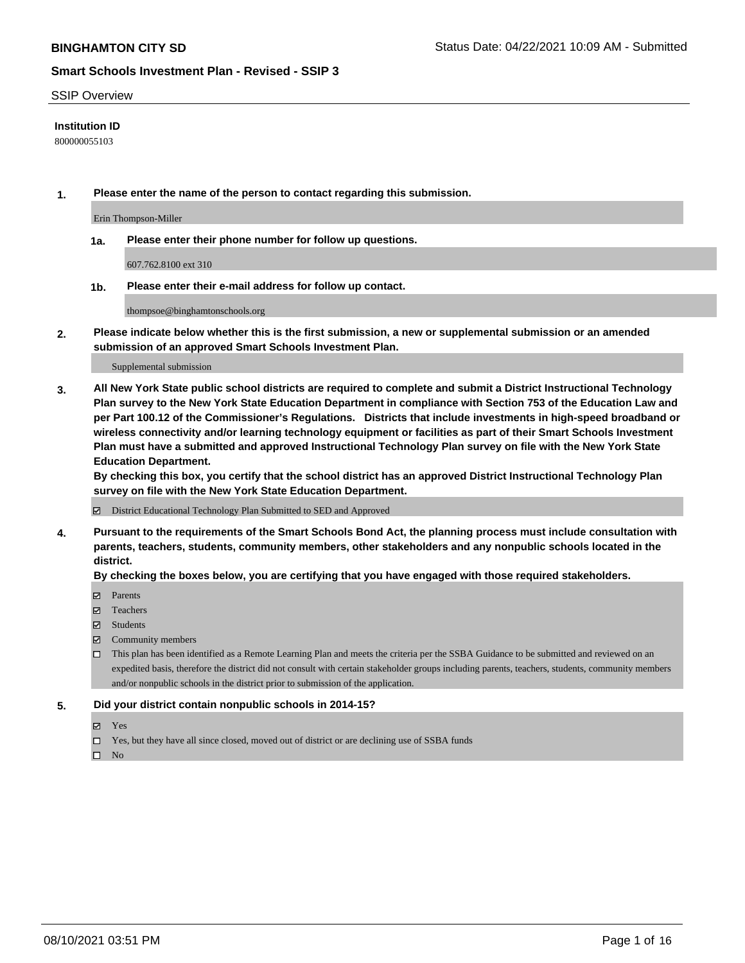#### SSIP Overview

### **Institution ID**

800000055103

**1. Please enter the name of the person to contact regarding this submission.**

Erin Thompson-Miller

**1a. Please enter their phone number for follow up questions.**

607.762.8100 ext 310

**1b. Please enter their e-mail address for follow up contact.**

thompsoe@binghamtonschools.org

**2. Please indicate below whether this is the first submission, a new or supplemental submission or an amended submission of an approved Smart Schools Investment Plan.**

#### Supplemental submission

**3. All New York State public school districts are required to complete and submit a District Instructional Technology Plan survey to the New York State Education Department in compliance with Section 753 of the Education Law and per Part 100.12 of the Commissioner's Regulations. Districts that include investments in high-speed broadband or wireless connectivity and/or learning technology equipment or facilities as part of their Smart Schools Investment Plan must have a submitted and approved Instructional Technology Plan survey on file with the New York State Education Department.** 

**By checking this box, you certify that the school district has an approved District Instructional Technology Plan survey on file with the New York State Education Department.**

District Educational Technology Plan Submitted to SED and Approved

**4. Pursuant to the requirements of the Smart Schools Bond Act, the planning process must include consultation with parents, teachers, students, community members, other stakeholders and any nonpublic schools located in the district.** 

#### **By checking the boxes below, you are certifying that you have engaged with those required stakeholders.**

- **Parents**
- Teachers
- Students
- $\boxtimes$  Community members
- This plan has been identified as a Remote Learning Plan and meets the criteria per the SSBA Guidance to be submitted and reviewed on an expedited basis, therefore the district did not consult with certain stakeholder groups including parents, teachers, students, community members and/or nonpublic schools in the district prior to submission of the application.
- **5. Did your district contain nonpublic schools in 2014-15?**
	- Yes
	- □ Yes, but they have all since closed, moved out of district or are declining use of SSBA funds

 $\Box$  No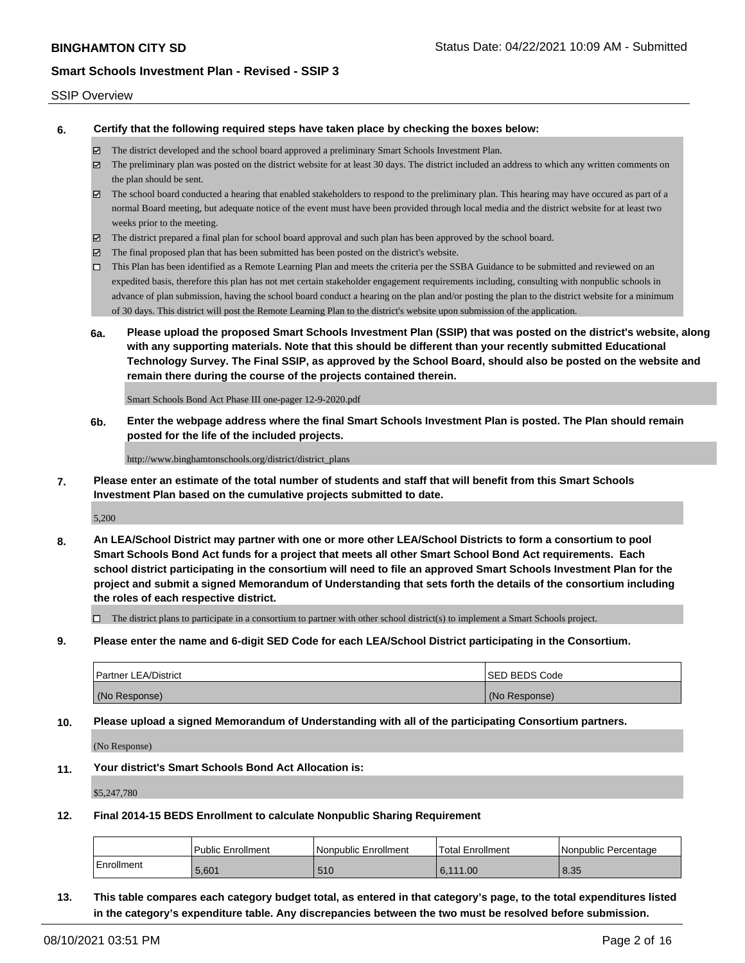#### SSIP Overview

**6. Certify that the following required steps have taken place by checking the boxes below:**

- The district developed and the school board approved a preliminary Smart Schools Investment Plan.
- The preliminary plan was posted on the district website for at least 30 days. The district included an address to which any written comments on the plan should be sent.
- The school board conducted a hearing that enabled stakeholders to respond to the preliminary plan. This hearing may have occured as part of a normal Board meeting, but adequate notice of the event must have been provided through local media and the district website for at least two weeks prior to the meeting.
- The district prepared a final plan for school board approval and such plan has been approved by the school board.
- $\boxtimes$  The final proposed plan that has been submitted has been posted on the district's website.
- This Plan has been identified as a Remote Learning Plan and meets the criteria per the SSBA Guidance to be submitted and reviewed on an expedited basis, therefore this plan has not met certain stakeholder engagement requirements including, consulting with nonpublic schools in advance of plan submission, having the school board conduct a hearing on the plan and/or posting the plan to the district website for a minimum of 30 days. This district will post the Remote Learning Plan to the district's website upon submission of the application.
- **6a. Please upload the proposed Smart Schools Investment Plan (SSIP) that was posted on the district's website, along with any supporting materials. Note that this should be different than your recently submitted Educational Technology Survey. The Final SSIP, as approved by the School Board, should also be posted on the website and remain there during the course of the projects contained therein.**

Smart Schools Bond Act Phase III one-pager 12-9-2020.pdf

**6b. Enter the webpage address where the final Smart Schools Investment Plan is posted. The Plan should remain posted for the life of the included projects.**

http://www.binghamtonschools.org/district/district\_plans

**7. Please enter an estimate of the total number of students and staff that will benefit from this Smart Schools Investment Plan based on the cumulative projects submitted to date.**

5,200

**8. An LEA/School District may partner with one or more other LEA/School Districts to form a consortium to pool Smart Schools Bond Act funds for a project that meets all other Smart School Bond Act requirements. Each school district participating in the consortium will need to file an approved Smart Schools Investment Plan for the project and submit a signed Memorandum of Understanding that sets forth the details of the consortium including the roles of each respective district.**

 $\Box$  The district plans to participate in a consortium to partner with other school district(s) to implement a Smart Schools project.

**9. Please enter the name and 6-digit SED Code for each LEA/School District participating in the Consortium.**

| <b>Partner LEA/District</b> | <b>ISED BEDS Code</b> |
|-----------------------------|-----------------------|
| (No Response)               | (No Response)         |

**10. Please upload a signed Memorandum of Understanding with all of the participating Consortium partners.**

(No Response)

**11. Your district's Smart Schools Bond Act Allocation is:**

\$5,247,780

**12. Final 2014-15 BEDS Enrollment to calculate Nonpublic Sharing Requirement**

|            | Public Enrollment | l Nonpublic Enrollment | Total Enrollment | INonpublic Percentage |
|------------|-------------------|------------------------|------------------|-----------------------|
| Enrollment | 5.601             | 510                    | 6.111.00         | 8.35                  |

**13. This table compares each category budget total, as entered in that category's page, to the total expenditures listed in the category's expenditure table. Any discrepancies between the two must be resolved before submission.**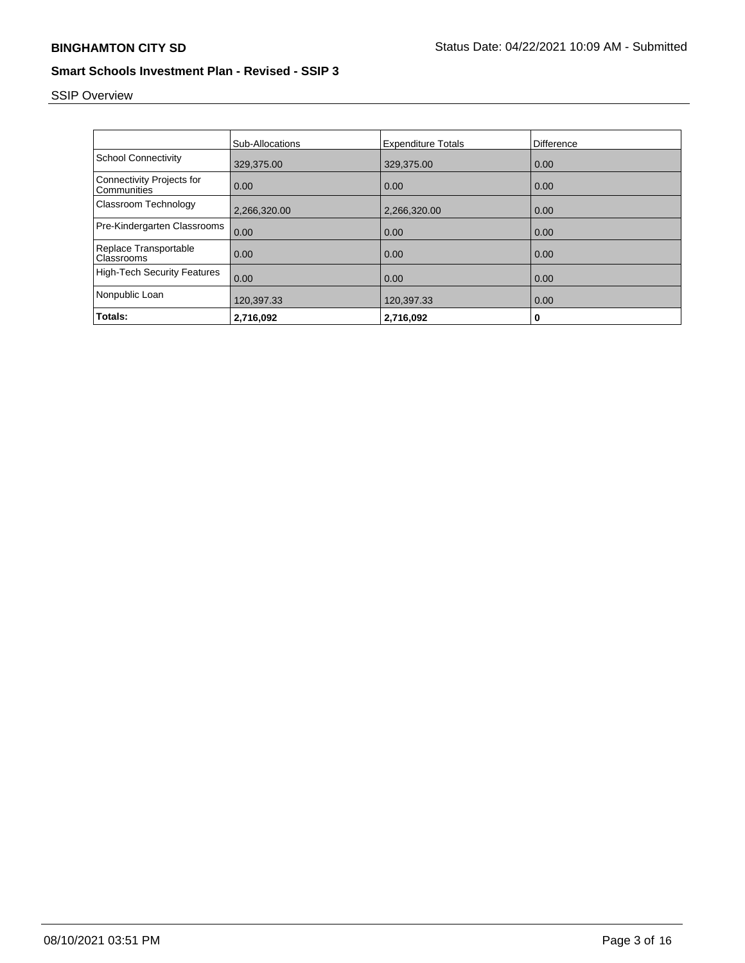# SSIP Overview

|                                            | Sub-Allocations | <b>Expenditure Totals</b> | Difference |
|--------------------------------------------|-----------------|---------------------------|------------|
| <b>School Connectivity</b>                 | 329,375.00      | 329,375.00                | 0.00       |
| Connectivity Projects for<br>Communities   | 0.00            | 0.00                      | 0.00       |
| Classroom Technology                       | 2,266,320.00    | 2,266,320.00              | 0.00       |
| Pre-Kindergarten Classrooms                | 0.00            | 0.00                      | 0.00       |
| Replace Transportable<br><b>Classrooms</b> | 0.00            | 0.00                      | 0.00       |
| <b>High-Tech Security Features</b>         | 0.00            | 0.00                      | 0.00       |
| Nonpublic Loan                             | 120,397.33      | 120,397.33                | 0.00       |
| Totals:                                    | 2,716,092       | 2,716,092                 | 0          |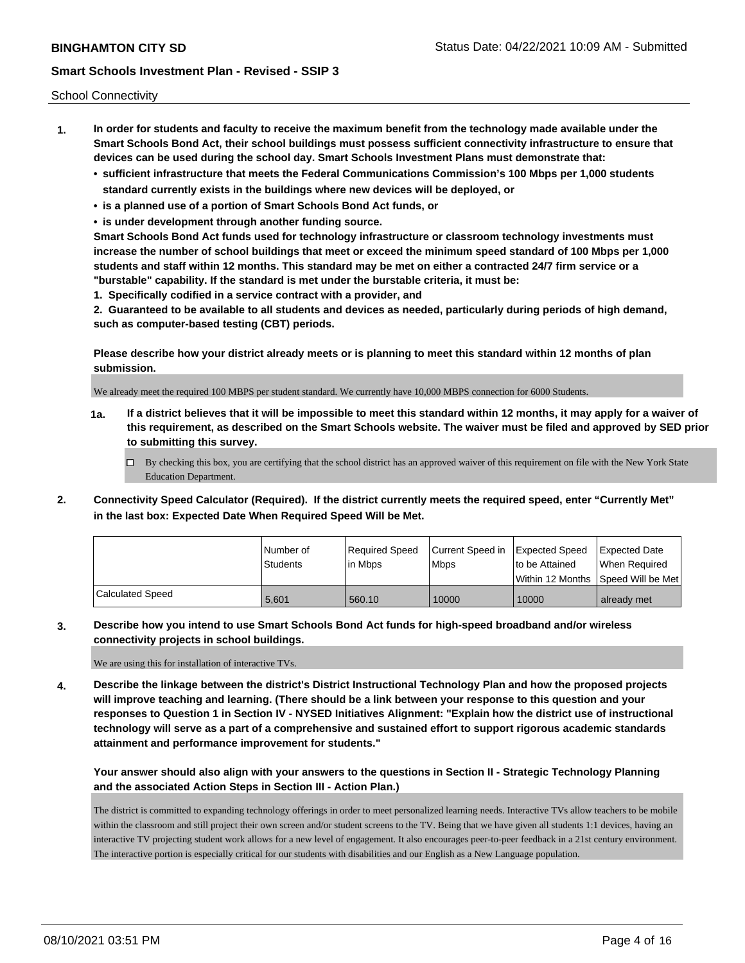School Connectivity

- **1. In order for students and faculty to receive the maximum benefit from the technology made available under the Smart Schools Bond Act, their school buildings must possess sufficient connectivity infrastructure to ensure that devices can be used during the school day. Smart Schools Investment Plans must demonstrate that:**
	- **• sufficient infrastructure that meets the Federal Communications Commission's 100 Mbps per 1,000 students standard currently exists in the buildings where new devices will be deployed, or**
	- **• is a planned use of a portion of Smart Schools Bond Act funds, or**
	- **• is under development through another funding source.**

**Smart Schools Bond Act funds used for technology infrastructure or classroom technology investments must increase the number of school buildings that meet or exceed the minimum speed standard of 100 Mbps per 1,000 students and staff within 12 months. This standard may be met on either a contracted 24/7 firm service or a "burstable" capability. If the standard is met under the burstable criteria, it must be:**

**1. Specifically codified in a service contract with a provider, and**

**2. Guaranteed to be available to all students and devices as needed, particularly during periods of high demand, such as computer-based testing (CBT) periods.**

**Please describe how your district already meets or is planning to meet this standard within 12 months of plan submission.**

We already meet the required 100 MBPS per student standard. We currently have 10,000 MBPS connection for 6000 Students.

**1a. If a district believes that it will be impossible to meet this standard within 12 months, it may apply for a waiver of this requirement, as described on the Smart Schools website. The waiver must be filed and approved by SED prior to submitting this survey.**

 $\Box$  By checking this box, you are certifying that the school district has an approved waiver of this requirement on file with the New York State Education Department.

**2. Connectivity Speed Calculator (Required). If the district currently meets the required speed, enter "Currently Met" in the last box: Expected Date When Required Speed Will be Met.**

|                  | l Number of     | Required Speed | Current Speed in | <b>Expected Speed</b> | <b>Expected Date</b>                |
|------------------|-----------------|----------------|------------------|-----------------------|-------------------------------------|
|                  | <b>Students</b> | l in Mbps      | <b>Mbps</b>      | to be Attained        | When Required                       |
|                  |                 |                |                  |                       | Within 12 Months ISpeed Will be Met |
| Calculated Speed | 5.601           | 560.10         | 10000            | 10000                 | already met                         |

**3. Describe how you intend to use Smart Schools Bond Act funds for high-speed broadband and/or wireless connectivity projects in school buildings.**

We are using this for installation of interactive TVs.

**4. Describe the linkage between the district's District Instructional Technology Plan and how the proposed projects will improve teaching and learning. (There should be a link between your response to this question and your responses to Question 1 in Section IV - NYSED Initiatives Alignment: "Explain how the district use of instructional technology will serve as a part of a comprehensive and sustained effort to support rigorous academic standards attainment and performance improvement for students."** 

**Your answer should also align with your answers to the questions in Section II - Strategic Technology Planning and the associated Action Steps in Section III - Action Plan.)**

The district is committed to expanding technology offerings in order to meet personalized learning needs. Interactive TVs allow teachers to be mobile within the classroom and still project their own screen and/or student screens to the TV. Being that we have given all students 1:1 devices, having an interactive TV projecting student work allows for a new level of engagement. It also encourages peer-to-peer feedback in a 21st century environment. The interactive portion is especially critical for our students with disabilities and our English as a New Language population.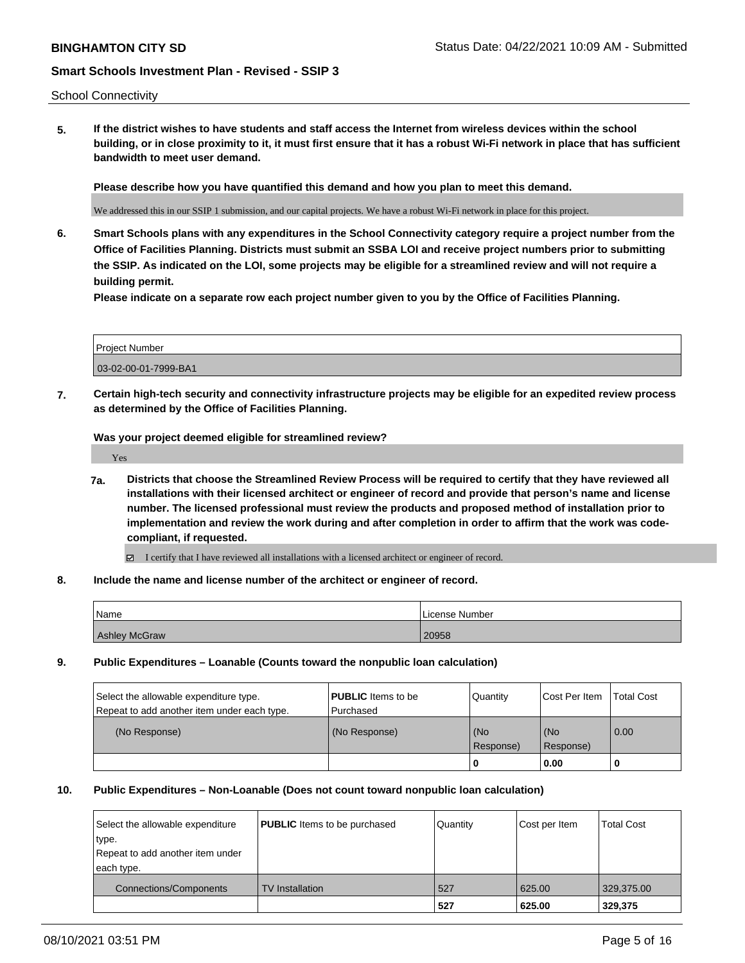School Connectivity

**5. If the district wishes to have students and staff access the Internet from wireless devices within the school building, or in close proximity to it, it must first ensure that it has a robust Wi-Fi network in place that has sufficient bandwidth to meet user demand.**

**Please describe how you have quantified this demand and how you plan to meet this demand.**

We addressed this in our SSIP 1 submission, and our capital projects. We have a robust Wi-Fi network in place for this project.

**6. Smart Schools plans with any expenditures in the School Connectivity category require a project number from the Office of Facilities Planning. Districts must submit an SSBA LOI and receive project numbers prior to submitting the SSIP. As indicated on the LOI, some projects may be eligible for a streamlined review and will not require a building permit.**

**Please indicate on a separate row each project number given to you by the Office of Facilities Planning.**

| Project Number       |  |
|----------------------|--|
| 03-02-00-01-7999-BA1 |  |

**7. Certain high-tech security and connectivity infrastructure projects may be eligible for an expedited review process as determined by the Office of Facilities Planning.**

**Was your project deemed eligible for streamlined review?**

Yes

- **7a. Districts that choose the Streamlined Review Process will be required to certify that they have reviewed all installations with their licensed architect or engineer of record and provide that person's name and license number. The licensed professional must review the products and proposed method of installation prior to implementation and review the work during and after completion in order to affirm that the work was codecompliant, if requested.**
	- I certify that I have reviewed all installations with a licensed architect or engineer of record.
- **8. Include the name and license number of the architect or engineer of record.**

| Name                 | License Number |
|----------------------|----------------|
| <b>Ashley McGraw</b> | 20958          |

**9. Public Expenditures – Loanable (Counts toward the nonpublic loan calculation)**

| Select the allowable expenditure type.      | <b>PUBLIC</b> Items to be | Quantity         | <b>Cost Per Item</b> | <b>Total Cost</b> |
|---------------------------------------------|---------------------------|------------------|----------------------|-------------------|
| Repeat to add another item under each type. | l Purchased               |                  |                      |                   |
| (No Response)                               | (No Response)             | (No<br>Response) | l (No<br>Response)   | 0.00              |
|                                             |                           | 0                | 0.00                 |                   |

#### **10. Public Expenditures – Non-Loanable (Does not count toward nonpublic loan calculation)**

| Select the allowable expenditure<br>type.<br>Repeat to add another item under<br>each type. | <b>PUBLIC</b> Items to be purchased | Quantity | Cost per Item | <b>Total Cost</b> |
|---------------------------------------------------------------------------------------------|-------------------------------------|----------|---------------|-------------------|
| Connections/Components                                                                      | <b>TV</b> Installation              | 527      | 625.00        | 329,375.00        |
|                                                                                             |                                     | 527      | 625.00        | 329,375           |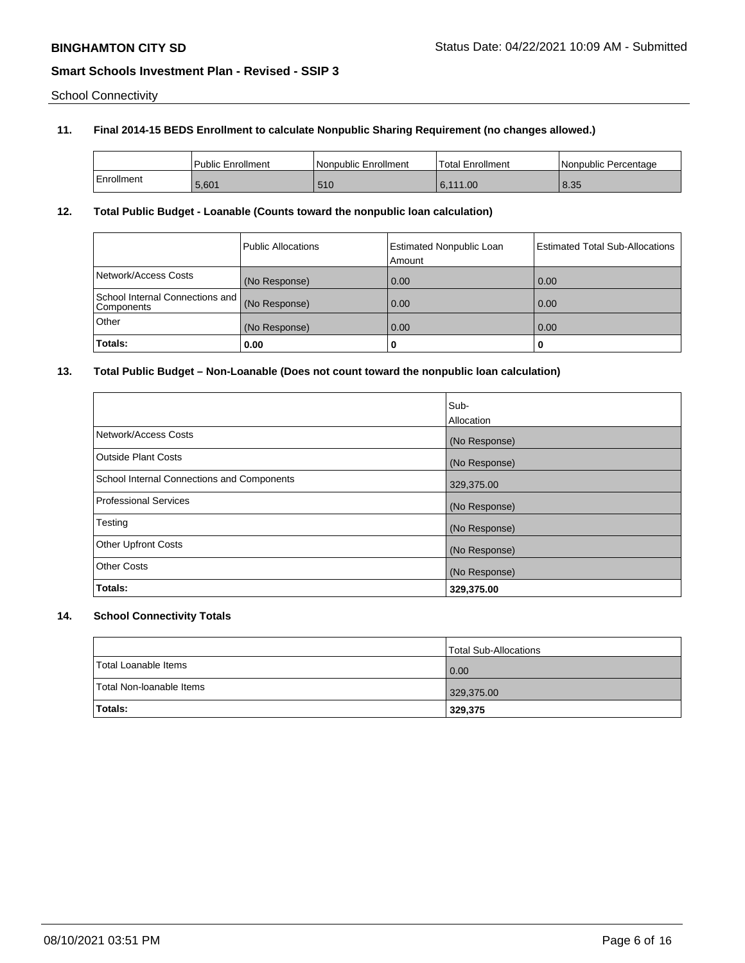School Connectivity

### **11. Final 2014-15 BEDS Enrollment to calculate Nonpublic Sharing Requirement (no changes allowed.)**

|            | Public Enrollment | Nonpublic Enrollment | <b>Total Enrollment</b> | l Nonpublic Percentage |
|------------|-------------------|----------------------|-------------------------|------------------------|
| Enrollment | 5,601             | 510                  | 6.111.00                | 8.35                   |

### **12. Total Public Budget - Loanable (Counts toward the nonpublic loan calculation)**

|                                               | <b>Public Allocations</b> | <b>Estimated Nonpublic Loan</b><br>Amount | <b>Estimated Total Sub-Allocations</b> |
|-----------------------------------------------|---------------------------|-------------------------------------------|----------------------------------------|
| Network/Access Costs                          | (No Response)             | 0.00                                      | 0.00                                   |
| School Internal Connections and<br>Components | (No Response)             | 0.00                                      | 0.00                                   |
| Other                                         | (No Response)             | 0.00                                      | 0.00                                   |
| Totals:                                       | 0.00                      |                                           | o                                      |

### **13. Total Public Budget – Non-Loanable (Does not count toward the nonpublic loan calculation)**

|                                            | Sub-          |
|--------------------------------------------|---------------|
|                                            | Allocation    |
| Network/Access Costs                       | (No Response) |
| Outside Plant Costs                        | (No Response) |
| School Internal Connections and Components | 329,375.00    |
| Professional Services                      | (No Response) |
| Testing                                    | (No Response) |
| <b>Other Upfront Costs</b>                 | (No Response) |
| <b>Other Costs</b>                         | (No Response) |
| Totals:                                    | 329,375.00    |

# **14. School Connectivity Totals**

|                          | Total Sub-Allocations |
|--------------------------|-----------------------|
| Total Loanable Items     | 0.00                  |
| Total Non-Ioanable Items | 329,375.00            |
| <b>Totals:</b>           | 329,375               |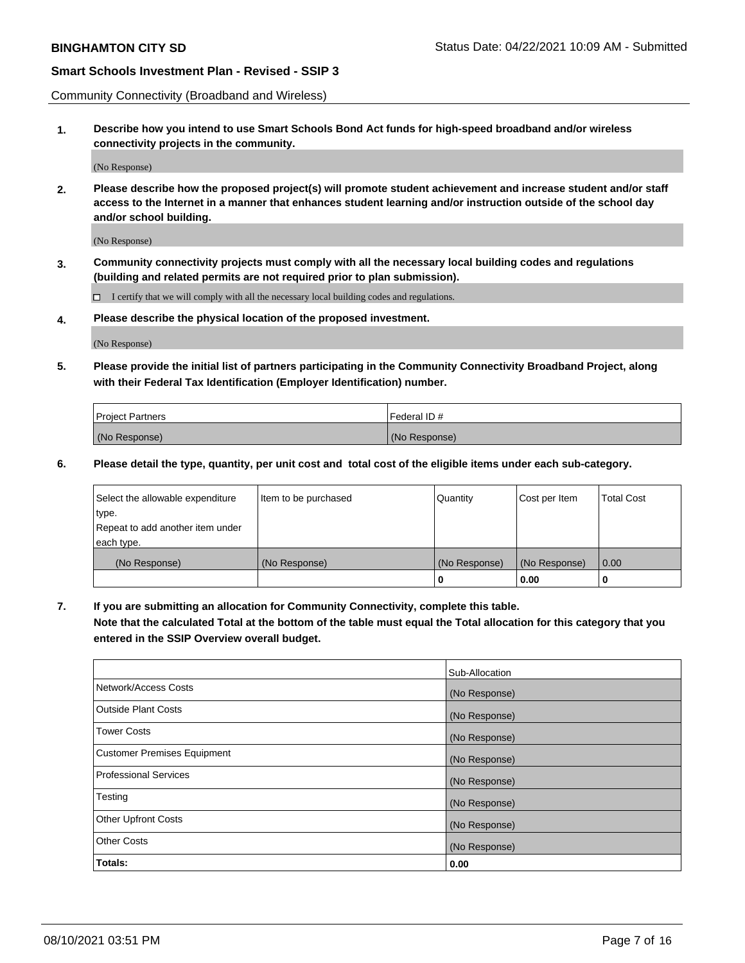Community Connectivity (Broadband and Wireless)

**1. Describe how you intend to use Smart Schools Bond Act funds for high-speed broadband and/or wireless connectivity projects in the community.**

(No Response)

**2. Please describe how the proposed project(s) will promote student achievement and increase student and/or staff access to the Internet in a manner that enhances student learning and/or instruction outside of the school day and/or school building.**

(No Response)

**3. Community connectivity projects must comply with all the necessary local building codes and regulations (building and related permits are not required prior to plan submission).**

 $\Box$  I certify that we will comply with all the necessary local building codes and regulations.

**4. Please describe the physical location of the proposed investment.**

(No Response)

**5. Please provide the initial list of partners participating in the Community Connectivity Broadband Project, along with their Federal Tax Identification (Employer Identification) number.**

| <b>Project Partners</b> | l Federal ID # |
|-------------------------|----------------|
| (No Response)           | (No Response)  |

**6. Please detail the type, quantity, per unit cost and total cost of the eligible items under each sub-category.**

| Select the allowable expenditure | Item to be purchased | Quantity      | Cost per Item | <b>Total Cost</b> |
|----------------------------------|----------------------|---------------|---------------|-------------------|
| type.                            |                      |               |               |                   |
| Repeat to add another item under |                      |               |               |                   |
| each type.                       |                      |               |               |                   |
| (No Response)                    | (No Response)        | (No Response) | (No Response) | 0.00              |
|                                  |                      | U             | 0.00          |                   |

**7. If you are submitting an allocation for Community Connectivity, complete this table.**

**Note that the calculated Total at the bottom of the table must equal the Total allocation for this category that you entered in the SSIP Overview overall budget.**

|                                    | Sub-Allocation |
|------------------------------------|----------------|
| Network/Access Costs               | (No Response)  |
| Outside Plant Costs                | (No Response)  |
| <b>Tower Costs</b>                 | (No Response)  |
| <b>Customer Premises Equipment</b> | (No Response)  |
| <b>Professional Services</b>       | (No Response)  |
| Testing                            | (No Response)  |
| <b>Other Upfront Costs</b>         | (No Response)  |
| <b>Other Costs</b>                 | (No Response)  |
| Totals:                            | 0.00           |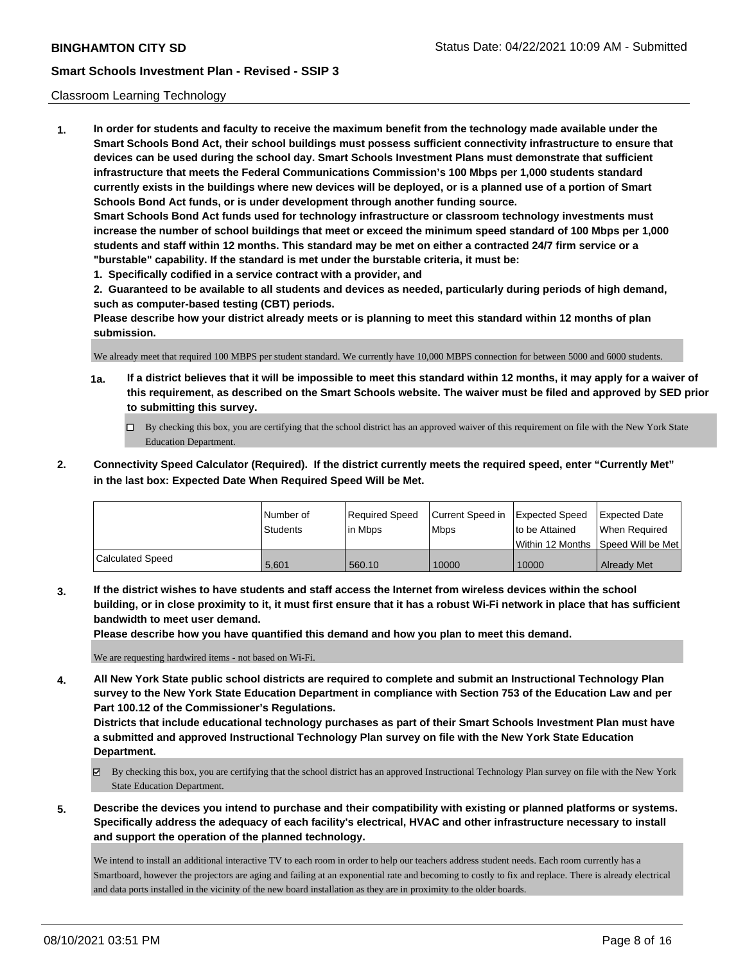#### Classroom Learning Technology

**1. In order for students and faculty to receive the maximum benefit from the technology made available under the Smart Schools Bond Act, their school buildings must possess sufficient connectivity infrastructure to ensure that devices can be used during the school day. Smart Schools Investment Plans must demonstrate that sufficient infrastructure that meets the Federal Communications Commission's 100 Mbps per 1,000 students standard currently exists in the buildings where new devices will be deployed, or is a planned use of a portion of Smart Schools Bond Act funds, or is under development through another funding source. Smart Schools Bond Act funds used for technology infrastructure or classroom technology investments must increase the number of school buildings that meet or exceed the minimum speed standard of 100 Mbps per 1,000 students and staff within 12 months. This standard may be met on either a contracted 24/7 firm service or a "burstable" capability. If the standard is met under the burstable criteria, it must be:**

**1. Specifically codified in a service contract with a provider, and**

**2. Guaranteed to be available to all students and devices as needed, particularly during periods of high demand, such as computer-based testing (CBT) periods.**

**Please describe how your district already meets or is planning to meet this standard within 12 months of plan submission.**

We already meet that required 100 MBPS per student standard. We currently have 10,000 MBPS connection for between 5000 and 6000 students.

- **1a. If a district believes that it will be impossible to meet this standard within 12 months, it may apply for a waiver of this requirement, as described on the Smart Schools website. The waiver must be filed and approved by SED prior to submitting this survey.**
	- By checking this box, you are certifying that the school district has an approved waiver of this requirement on file with the New York State Education Department.
- **2. Connectivity Speed Calculator (Required). If the district currently meets the required speed, enter "Currently Met" in the last box: Expected Date When Required Speed Will be Met.**

|                         | l Number of     | Required Speed | Current Speed in | Expected Speed | Expected Date                        |
|-------------------------|-----------------|----------------|------------------|----------------|--------------------------------------|
|                         | <b>Students</b> | l in Mbps      | l Mbps           | to be Attained | When Required                        |
|                         |                 |                |                  |                | Within 12 Months 1Speed Will be Met1 |
| <b>Calculated Speed</b> | 5.601           | 560.10         | 10000            | 10000          | <b>Already Met</b>                   |

**3. If the district wishes to have students and staff access the Internet from wireless devices within the school building, or in close proximity to it, it must first ensure that it has a robust Wi-Fi network in place that has sufficient bandwidth to meet user demand.**

**Please describe how you have quantified this demand and how you plan to meet this demand.**

We are requesting hardwired items - not based on Wi-Fi.

**4. All New York State public school districts are required to complete and submit an Instructional Technology Plan survey to the New York State Education Department in compliance with Section 753 of the Education Law and per Part 100.12 of the Commissioner's Regulations.**

**Districts that include educational technology purchases as part of their Smart Schools Investment Plan must have a submitted and approved Instructional Technology Plan survey on file with the New York State Education Department.**

- By checking this box, you are certifying that the school district has an approved Instructional Technology Plan survey on file with the New York State Education Department.
- **5. Describe the devices you intend to purchase and their compatibility with existing or planned platforms or systems. Specifically address the adequacy of each facility's electrical, HVAC and other infrastructure necessary to install and support the operation of the planned technology.**

We intend to install an additional interactive TV to each room in order to help our teachers address student needs. Each room currently has a Smartboard, however the projectors are aging and failing at an exponential rate and becoming to costly to fix and replace. There is already electrical and data ports installed in the vicinity of the new board installation as they are in proximity to the older boards.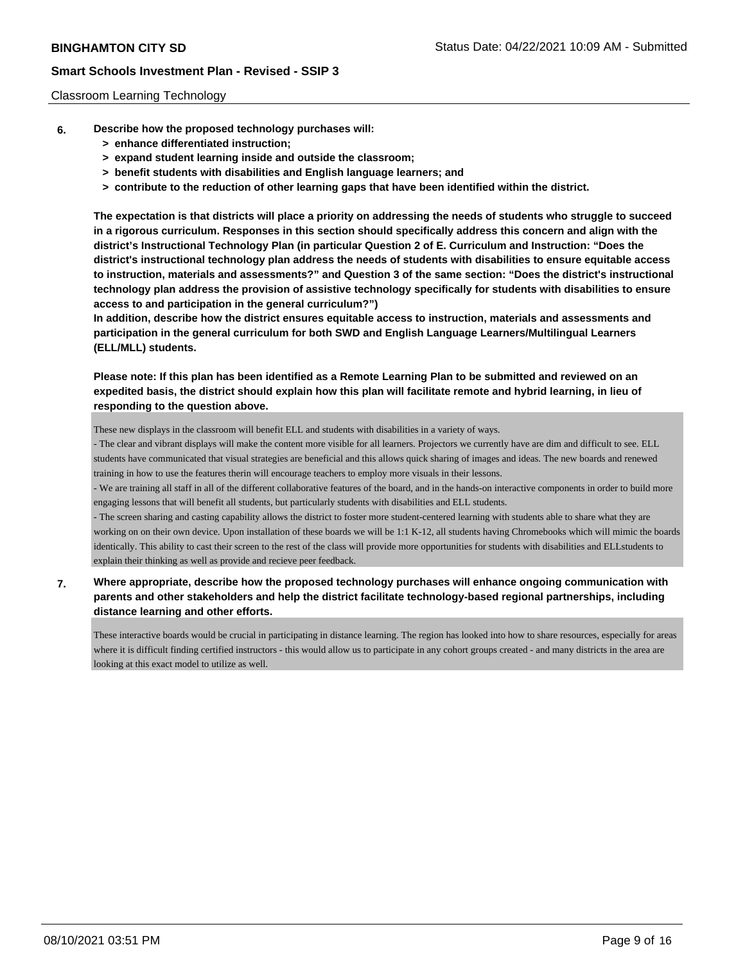#### Classroom Learning Technology

- **6. Describe how the proposed technology purchases will:**
	- **> enhance differentiated instruction;**
	- **> expand student learning inside and outside the classroom;**
	- **> benefit students with disabilities and English language learners; and**
	- **> contribute to the reduction of other learning gaps that have been identified within the district.**

**The expectation is that districts will place a priority on addressing the needs of students who struggle to succeed in a rigorous curriculum. Responses in this section should specifically address this concern and align with the district's Instructional Technology Plan (in particular Question 2 of E. Curriculum and Instruction: "Does the district's instructional technology plan address the needs of students with disabilities to ensure equitable access to instruction, materials and assessments?" and Question 3 of the same section: "Does the district's instructional technology plan address the provision of assistive technology specifically for students with disabilities to ensure access to and participation in the general curriculum?")**

**In addition, describe how the district ensures equitable access to instruction, materials and assessments and participation in the general curriculum for both SWD and English Language Learners/Multilingual Learners (ELL/MLL) students.**

**Please note: If this plan has been identified as a Remote Learning Plan to be submitted and reviewed on an expedited basis, the district should explain how this plan will facilitate remote and hybrid learning, in lieu of responding to the question above.**

These new displays in the classroom will benefit ELL and students with disabilities in a variety of ways.

- The clear and vibrant displays will make the content more visible for all learners. Projectors we currently have are dim and difficult to see. ELL students have communicated that visual strategies are beneficial and this allows quick sharing of images and ideas. The new boards and renewed training in how to use the features therin will encourage teachers to employ more visuals in their lessons.

- We are training all staff in all of the different collaborative features of the board, and in the hands-on interactive components in order to build more engaging lessons that will benefit all students, but particularly students with disabilities and ELL students.

- The screen sharing and casting capability allows the district to foster more student-centered learning with students able to share what they are working on on their own device. Upon installation of these boards we will be 1:1 K-12, all students having Chromebooks which will mimic the boards identically. This ability to cast their screen to the rest of the class will provide more opportunities for students with disabilities and ELLstudents to explain their thinking as well as provide and recieve peer feedback.

**7. Where appropriate, describe how the proposed technology purchases will enhance ongoing communication with parents and other stakeholders and help the district facilitate technology-based regional partnerships, including distance learning and other efforts.**

These interactive boards would be crucial in participating in distance learning. The region has looked into how to share resources, especially for areas where it is difficult finding certified instructors - this would allow us to participate in any cohort groups created - and many districts in the area are looking at this exact model to utilize as well.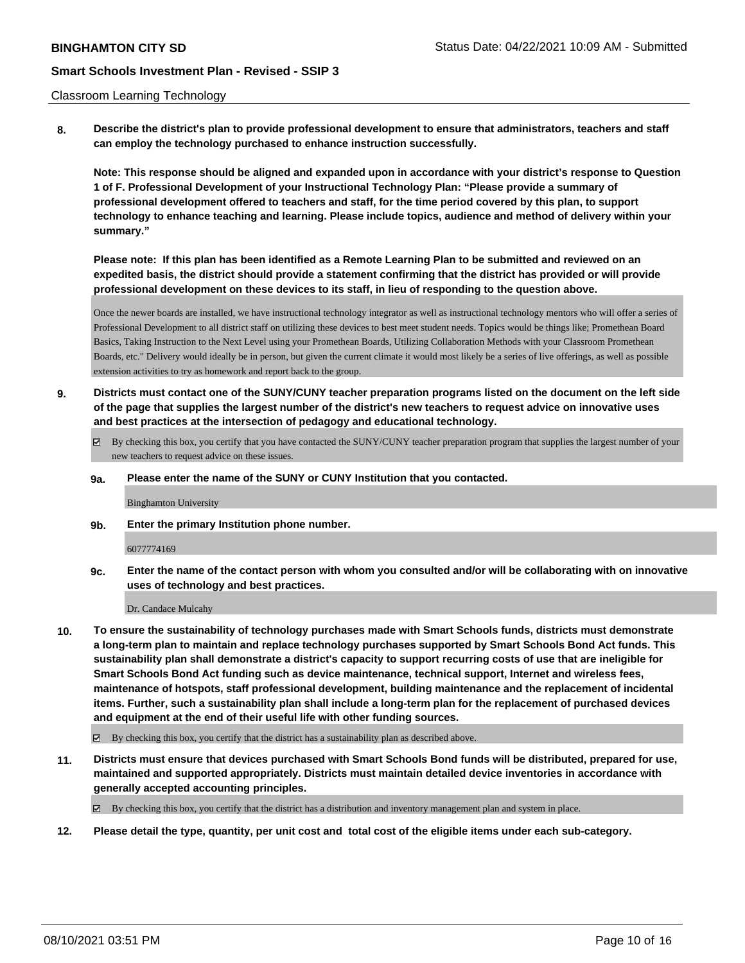#### Classroom Learning Technology

**8. Describe the district's plan to provide professional development to ensure that administrators, teachers and staff can employ the technology purchased to enhance instruction successfully.**

**Note: This response should be aligned and expanded upon in accordance with your district's response to Question 1 of F. Professional Development of your Instructional Technology Plan: "Please provide a summary of professional development offered to teachers and staff, for the time period covered by this plan, to support technology to enhance teaching and learning. Please include topics, audience and method of delivery within your summary."**

**Please note: If this plan has been identified as a Remote Learning Plan to be submitted and reviewed on an expedited basis, the district should provide a statement confirming that the district has provided or will provide professional development on these devices to its staff, in lieu of responding to the question above.**

Once the newer boards are installed, we have instructional technology integrator as well as instructional technology mentors who will offer a series of Professional Development to all district staff on utilizing these devices to best meet student needs. Topics would be things like; Promethean Board Basics, Taking Instruction to the Next Level using your Promethean Boards, Utilizing Collaboration Methods with your Classroom Promethean Boards, etc." Delivery would ideally be in person, but given the current climate it would most likely be a series of live offerings, as well as possible extension activities to try as homework and report back to the group.

- **9. Districts must contact one of the SUNY/CUNY teacher preparation programs listed on the document on the left side of the page that supplies the largest number of the district's new teachers to request advice on innovative uses and best practices at the intersection of pedagogy and educational technology.**
	- By checking this box, you certify that you have contacted the SUNY/CUNY teacher preparation program that supplies the largest number of your new teachers to request advice on these issues.

#### **9a. Please enter the name of the SUNY or CUNY Institution that you contacted.**

Binghamton University

**9b. Enter the primary Institution phone number.**

#### 6077774169

**9c. Enter the name of the contact person with whom you consulted and/or will be collaborating with on innovative uses of technology and best practices.**

Dr. Candace Mulcahy

- **10. To ensure the sustainability of technology purchases made with Smart Schools funds, districts must demonstrate a long-term plan to maintain and replace technology purchases supported by Smart Schools Bond Act funds. This sustainability plan shall demonstrate a district's capacity to support recurring costs of use that are ineligible for Smart Schools Bond Act funding such as device maintenance, technical support, Internet and wireless fees, maintenance of hotspots, staff professional development, building maintenance and the replacement of incidental items. Further, such a sustainability plan shall include a long-term plan for the replacement of purchased devices and equipment at the end of their useful life with other funding sources.**
	- $\boxtimes$  By checking this box, you certify that the district has a sustainability plan as described above.
- **11. Districts must ensure that devices purchased with Smart Schools Bond funds will be distributed, prepared for use, maintained and supported appropriately. Districts must maintain detailed device inventories in accordance with generally accepted accounting principles.**

By checking this box, you certify that the district has a distribution and inventory management plan and system in place.

**12. Please detail the type, quantity, per unit cost and total cost of the eligible items under each sub-category.**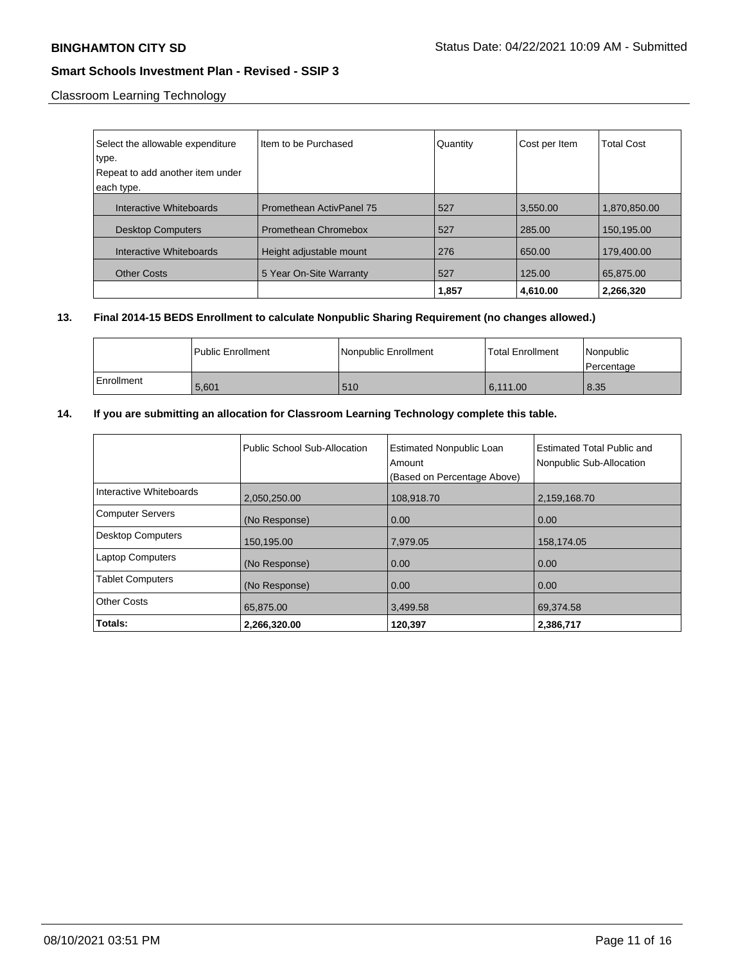Classroom Learning Technology

| Select the allowable expenditure          | Item to be Purchased            | Quantity | Cost per Item | <b>Total Cost</b> |
|-------------------------------------------|---------------------------------|----------|---------------|-------------------|
| type.<br>Repeat to add another item under |                                 |          |               |                   |
| each type.                                |                                 |          |               |                   |
| Interactive Whiteboards                   | <b>Promethean ActivPanel 75</b> | 527      | 3,550.00      | 1,870,850.00      |
| <b>Desktop Computers</b>                  | Promethean Chromebox            | 527      | 285.00        | 150,195.00        |
| Interactive Whiteboards                   | Height adjustable mount         | 276      | 650.00        | 179.400.00        |
| <b>Other Costs</b>                        | 5 Year On-Site Warranty         | 527      | 125.00        | 65,875.00         |
|                                           |                                 | 1,857    | 4,610.00      | 2,266,320         |

### **13. Final 2014-15 BEDS Enrollment to calculate Nonpublic Sharing Requirement (no changes allowed.)**

|            | l Public Enrollment | Nonpublic Enrollment | l Total Enrollment | l Nonpublic<br>l Percentage |
|------------|---------------------|----------------------|--------------------|-----------------------------|
| Enrollment | 5.601               | 510                  | 6.111.00           | 8.35                        |

# **14. If you are submitting an allocation for Classroom Learning Technology complete this table.**

|                          | Public School Sub-Allocation | <b>Estimated Nonpublic Loan</b><br>Amount<br>(Based on Percentage Above) | Estimated Total Public and<br>Nonpublic Sub-Allocation |
|--------------------------|------------------------------|--------------------------------------------------------------------------|--------------------------------------------------------|
| Interactive Whiteboards  | 2,050,250.00                 | 108,918.70                                                               | 2,159,168.70                                           |
| <b>Computer Servers</b>  | (No Response)                | 0.00                                                                     | 0.00                                                   |
| <b>Desktop Computers</b> | 150,195.00                   | 7,979.05                                                                 | 158,174.05                                             |
| <b>Laptop Computers</b>  | (No Response)                | 0.00                                                                     | 0.00                                                   |
| <b>Tablet Computers</b>  | (No Response)                | 0.00                                                                     | 0.00                                                   |
| <b>Other Costs</b>       | 65,875.00                    | 3,499.58                                                                 | 69,374.58                                              |
| Totals:                  | 2.266.320.00                 | 120.397                                                                  | 2,386,717                                              |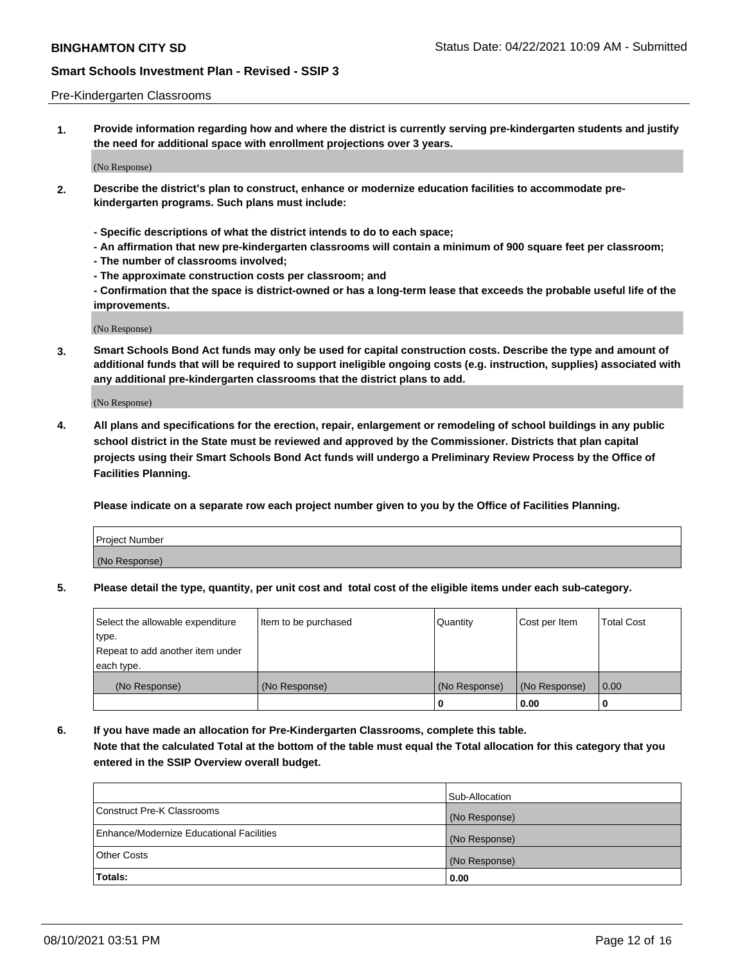#### Pre-Kindergarten Classrooms

**1. Provide information regarding how and where the district is currently serving pre-kindergarten students and justify the need for additional space with enrollment projections over 3 years.**

(No Response)

- **2. Describe the district's plan to construct, enhance or modernize education facilities to accommodate prekindergarten programs. Such plans must include:**
	- **Specific descriptions of what the district intends to do to each space;**
	- **An affirmation that new pre-kindergarten classrooms will contain a minimum of 900 square feet per classroom;**
	- **The number of classrooms involved;**
	- **The approximate construction costs per classroom; and**
	- **Confirmation that the space is district-owned or has a long-term lease that exceeds the probable useful life of the improvements.**

(No Response)

**3. Smart Schools Bond Act funds may only be used for capital construction costs. Describe the type and amount of additional funds that will be required to support ineligible ongoing costs (e.g. instruction, supplies) associated with any additional pre-kindergarten classrooms that the district plans to add.**

(No Response)

**4. All plans and specifications for the erection, repair, enlargement or remodeling of school buildings in any public school district in the State must be reviewed and approved by the Commissioner. Districts that plan capital projects using their Smart Schools Bond Act funds will undergo a Preliminary Review Process by the Office of Facilities Planning.**

**Please indicate on a separate row each project number given to you by the Office of Facilities Planning.**

| Project Number |  |
|----------------|--|
| (No Response)  |  |
|                |  |

**5. Please detail the type, quantity, per unit cost and total cost of the eligible items under each sub-category.**

| Select the allowable expenditure | Item to be purchased | Quantity      | Cost per Item | <b>Total Cost</b> |
|----------------------------------|----------------------|---------------|---------------|-------------------|
| type.                            |                      |               |               |                   |
| Repeat to add another item under |                      |               |               |                   |
| each type.                       |                      |               |               |                   |
| (No Response)                    | (No Response)        | (No Response) | (No Response) | 0.00              |
|                                  |                      | o             | 0.00          | u                 |

**6. If you have made an allocation for Pre-Kindergarten Classrooms, complete this table. Note that the calculated Total at the bottom of the table must equal the Total allocation for this category that you entered in the SSIP Overview overall budget.**

|                                          | Sub-Allocation |
|------------------------------------------|----------------|
| Construct Pre-K Classrooms               | (No Response)  |
| Enhance/Modernize Educational Facilities | (No Response)  |
| <b>Other Costs</b>                       | (No Response)  |
| Totals:                                  | 0.00           |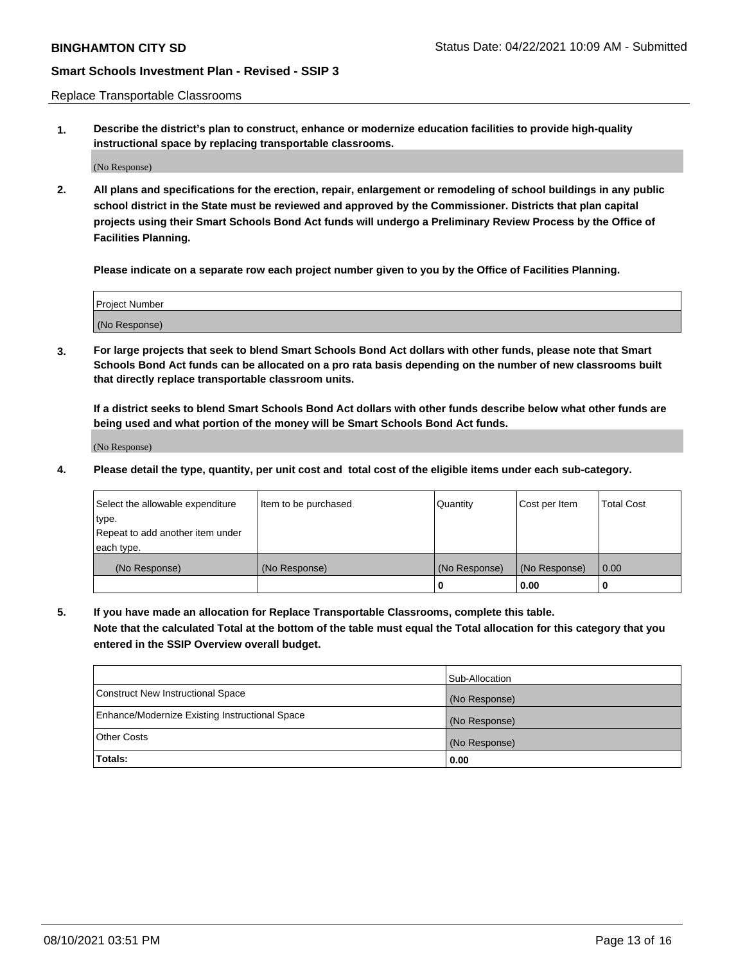Replace Transportable Classrooms

**1. Describe the district's plan to construct, enhance or modernize education facilities to provide high-quality instructional space by replacing transportable classrooms.**

(No Response)

**2. All plans and specifications for the erection, repair, enlargement or remodeling of school buildings in any public school district in the State must be reviewed and approved by the Commissioner. Districts that plan capital projects using their Smart Schools Bond Act funds will undergo a Preliminary Review Process by the Office of Facilities Planning.**

**Please indicate on a separate row each project number given to you by the Office of Facilities Planning.**

| Project Number |  |
|----------------|--|
|                |  |
|                |  |
|                |  |
|                |  |
| (No Response)  |  |
|                |  |
|                |  |
|                |  |

**3. For large projects that seek to blend Smart Schools Bond Act dollars with other funds, please note that Smart Schools Bond Act funds can be allocated on a pro rata basis depending on the number of new classrooms built that directly replace transportable classroom units.**

**If a district seeks to blend Smart Schools Bond Act dollars with other funds describe below what other funds are being used and what portion of the money will be Smart Schools Bond Act funds.**

(No Response)

**4. Please detail the type, quantity, per unit cost and total cost of the eligible items under each sub-category.**

| Select the allowable expenditure           | Item to be purchased | Quantity      | Cost per Item | <b>Total Cost</b> |
|--------------------------------------------|----------------------|---------------|---------------|-------------------|
| ∣type.<br>Repeat to add another item under |                      |               |               |                   |
| each type.                                 |                      |               |               |                   |
| (No Response)                              | (No Response)        | (No Response) | (No Response) | 0.00              |
|                                            |                      | 0             | 0.00          |                   |

**5. If you have made an allocation for Replace Transportable Classrooms, complete this table. Note that the calculated Total at the bottom of the table must equal the Total allocation for this category that you entered in the SSIP Overview overall budget.**

|                                                | Sub-Allocation |
|------------------------------------------------|----------------|
| Construct New Instructional Space              | (No Response)  |
| Enhance/Modernize Existing Instructional Space | (No Response)  |
| Other Costs                                    | (No Response)  |
| Totals:                                        | 0.00           |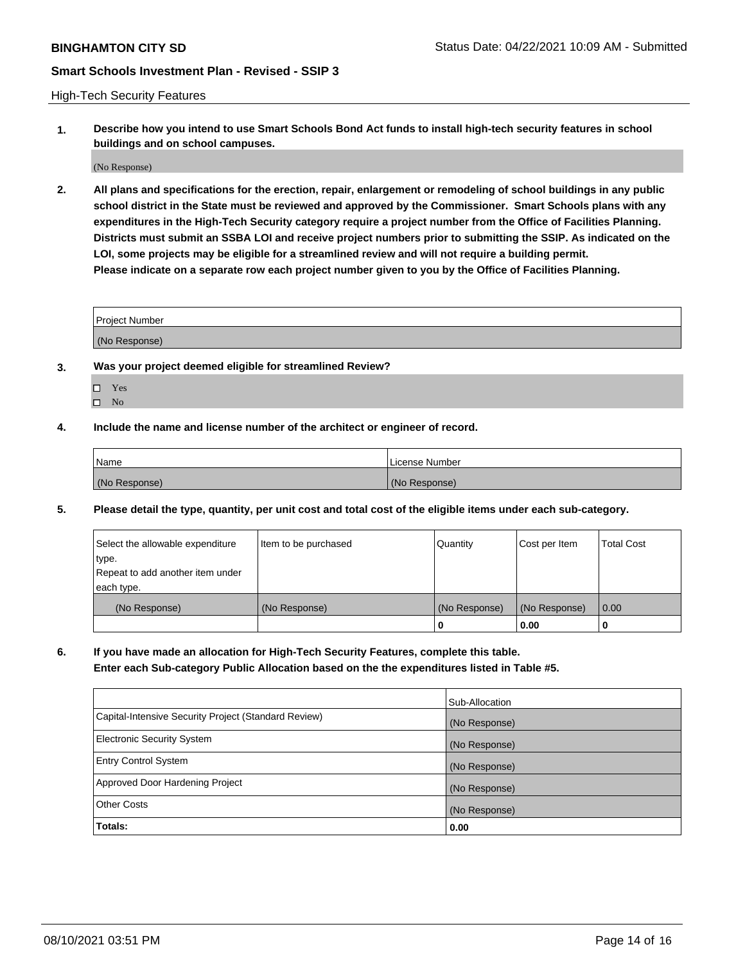High-Tech Security Features

**1. Describe how you intend to use Smart Schools Bond Act funds to install high-tech security features in school buildings and on school campuses.**

(No Response)

**2. All plans and specifications for the erection, repair, enlargement or remodeling of school buildings in any public school district in the State must be reviewed and approved by the Commissioner. Smart Schools plans with any expenditures in the High-Tech Security category require a project number from the Office of Facilities Planning. Districts must submit an SSBA LOI and receive project numbers prior to submitting the SSIP. As indicated on the LOI, some projects may be eligible for a streamlined review and will not require a building permit. Please indicate on a separate row each project number given to you by the Office of Facilities Planning.**

| <b>Project Number</b> |  |
|-----------------------|--|
| (No Response)         |  |

- **3. Was your project deemed eligible for streamlined Review?**
	- Yes
	- $\hfill \square$  No
- **4. Include the name and license number of the architect or engineer of record.**

| Name          | License Number |
|---------------|----------------|
| (No Response) | (No Response)  |

**5. Please detail the type, quantity, per unit cost and total cost of the eligible items under each sub-category.**

| Select the allowable expenditure | Item to be purchased | Quantity      | Cost per Item | <b>Total Cost</b> |
|----------------------------------|----------------------|---------------|---------------|-------------------|
| type.                            |                      |               |               |                   |
| Repeat to add another item under |                      |               |               |                   |
| each type.                       |                      |               |               |                   |
| (No Response)                    | (No Response)        | (No Response) | (No Response) | 0.00              |
|                                  |                      | 0             | 0.00          |                   |

**6. If you have made an allocation for High-Tech Security Features, complete this table.**

**Enter each Sub-category Public Allocation based on the the expenditures listed in Table #5.**

|                                                      | Sub-Allocation |
|------------------------------------------------------|----------------|
| Capital-Intensive Security Project (Standard Review) | (No Response)  |
| <b>Electronic Security System</b>                    | (No Response)  |
| <b>Entry Control System</b>                          | (No Response)  |
| Approved Door Hardening Project                      | (No Response)  |
| <b>Other Costs</b>                                   | (No Response)  |
| Totals:                                              | 0.00           |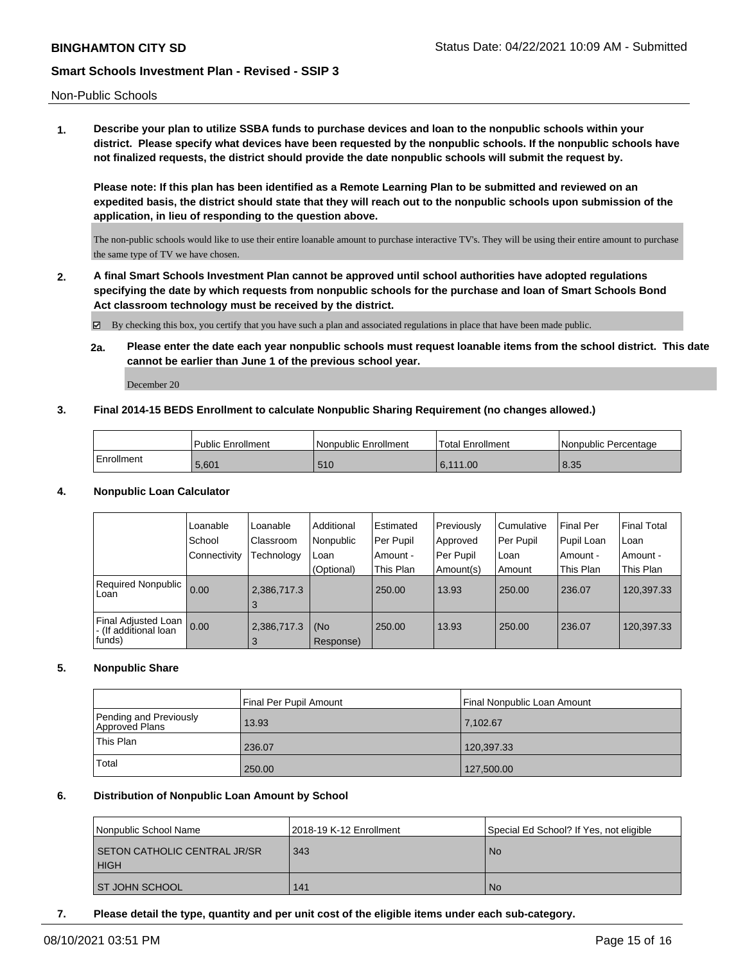Non-Public Schools

**1. Describe your plan to utilize SSBA funds to purchase devices and loan to the nonpublic schools within your district. Please specify what devices have been requested by the nonpublic schools. If the nonpublic schools have not finalized requests, the district should provide the date nonpublic schools will submit the request by.**

**Please note: If this plan has been identified as a Remote Learning Plan to be submitted and reviewed on an expedited basis, the district should state that they will reach out to the nonpublic schools upon submission of the application, in lieu of responding to the question above.**

The non-public schools would like to use their entire loanable amount to purchase interactive TV's. They will be using their entire amount to purchase the same type of TV we have chosen.

**2. A final Smart Schools Investment Plan cannot be approved until school authorities have adopted regulations specifying the date by which requests from nonpublic schools for the purchase and loan of Smart Schools Bond Act classroom technology must be received by the district.**

By checking this box, you certify that you have such a plan and associated regulations in place that have been made public.

**2a. Please enter the date each year nonpublic schools must request loanable items from the school district. This date cannot be earlier than June 1 of the previous school year.**

December 20

### **3. Final 2014-15 BEDS Enrollment to calculate Nonpublic Sharing Requirement (no changes allowed.)**

|            | <b>Public Enrollment</b> | l Nonpublic Enrollment | <b>Total Enrollment</b> | l Nonpublic Percentage |
|------------|--------------------------|------------------------|-------------------------|------------------------|
| Enrollment | 5.601                    | 510                    | 6.111.00                | 8.35                   |

### **4. Nonpublic Loan Calculator**

|                                                         | Loanable     | Loanable         | Additional       | Estimated | Previously | l Cumulative | Final Per  | l Final Total |
|---------------------------------------------------------|--------------|------------------|------------------|-----------|------------|--------------|------------|---------------|
|                                                         | School       | Classroom        | Nonpublic        | Per Pupil | Approved   | Per Pupil    | Pupil Loan | l Loan        |
|                                                         | Connectivity | Fechnology       | Loan             | Amount -  | Per Pupil  | l Loan       | i Amount - | Amount -      |
|                                                         |              |                  | (Optional)       | This Plan | Amount(s)  | Amount       | This Plan  | This Plan     |
| Required Nonpublic<br>Loan                              | 0.00         | 2,386,717.3<br>3 |                  | 250.00    | 13.93      | 250.00       | 236.07     | 120,397.33    |
| Final Adjusted Loan<br>- (If additional loan<br> funds) | 0.00         | 2,386,717.3<br>3 | (No<br>Response) | 250.00    | 13.93      | 250.00       | 236.07     | 120,397.33    |

# **5. Nonpublic Share**

|                                          | Final Per Pupil Amount | Final Nonpublic Loan Amount |
|------------------------------------------|------------------------|-----------------------------|
| Pending and Previously<br>Approved Plans | 13.93                  | 7,102.67                    |
| This Plan                                | 236.07                 | 120,397.33                  |
| Total                                    | 250.00                 | 127,500.00                  |

### **6. Distribution of Nonpublic Loan Amount by School**

| Nonpublic School Name               | 2018-19 K-12 Enrollment | Special Ed School? If Yes, not eligible |
|-------------------------------------|-------------------------|-----------------------------------------|
| <b>SETON CATHOLIC CENTRAL JR/SR</b> | 343                     | No.                                     |
| <b>HIGH</b>                         |                         |                                         |
| I ST JOHN SCHOOL                    | 141                     | No.                                     |

**7. Please detail the type, quantity and per unit cost of the eligible items under each sub-category.**